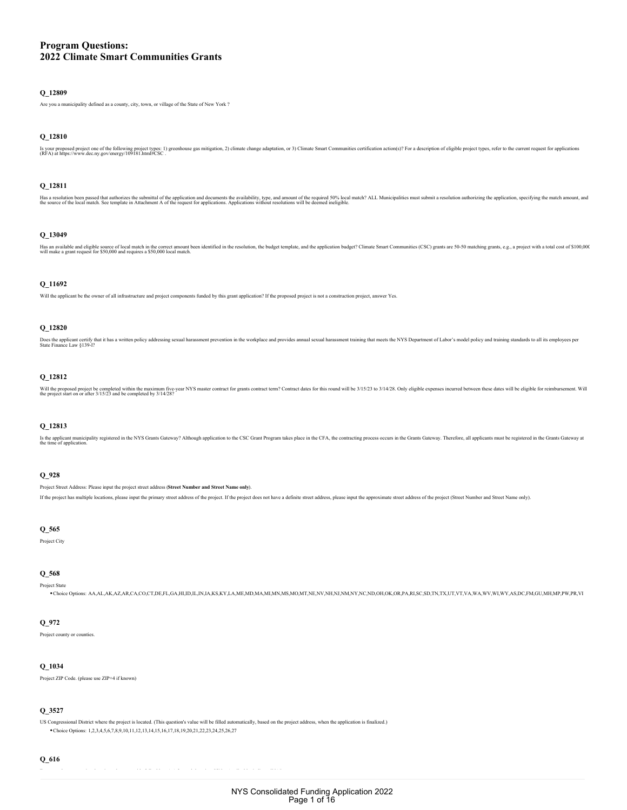# **Program Questions: 2022 Climate Smart Communities Grants**

# **Q\_12809**

Are you a municipality defined as a county, city, town, or village of the State of New York ?

# **Q\_12810**

Is your proposed project one of the following project types: 1) greenhouse gas mitigation, 2) climate change adaptation, or 3) Climate Smart Communities certification action(s)? For a description of eligible project types,

# **Q\_12811**

Has a resolution been passed that authorizes the submittal of the application and documents the availability, type, and amount of the request for applications. Applications. Applications without resolutions will be deemed

# **Q\_13049**

Has an available and eligible source of local match in the convert amount been identified in the resolution, the budget template, and the application budget? Climate Smart Communities (CSC) grants are 50-50 matching grants

# **Q\_11692**

Will the applicant be the owner of all infrastructure and project components funded by this grant application? If the proposed project is not a construction project, answer Yes.

### **Q\_12820**

Does the applicant certify that it has a written policy addressing sexual harassment prevention in the workplace and provides annual sexual harassment training that meets the NYS Department of Labor's model policy and trai

# **Q\_12812**

Will the proposed project be completed within the maximum five-year NYS master contract for grants contract term? Contract dates for this round will be 3/15/23 to 3/14/28. Only eligible expenses incurred between these date

# **Q\_12813**

ls the applicant municipality registered in the NYS Grants Gateway? Although application to the CSC Grant Program takes place in the CFA, the contracting process occurs in the Grants Gateway. Therefore, all applicants must

# **Q\_928**

Project Street Address: Please input the project street address (**Street Number and Street Name only**).

If the project has multiple locations, please input the primary street address of the project. If the project does not have a definite street address, please input the approximate street address of the project (Street Numb

# **Q\_565**

Project City

# **Q\_568**

Project State Choice Options: AA,AL,AK,AZ,AR,CA,CO,CT,DE,FL,GA,HI,ID,IL,IN,IA,KS,KY,LA,ME,MD,MA,MI,MN,MS,MO,MT,NE,NV,NH,NJ,NM,NY,NC,ND,OH,OK,OR,PA,RI,SC,SD,TN,TX,UT,VT,VA,WA,WV,WI,WY,AS,DC,FM,GU,MH,MP,PW,PR,VI

#### **Q\_972**

Project county or counties.

#### **Q\_1034**

Project ZIP Code. (please use ZIP+4 if known)

# **Q\_3527**

US Congressional District where the project is located. (This question's value will be filled automatically, based on the project address, when the application is finalized.) Choice Options: 1,2,3,4,5,6,7,8,9,10,11,12,13,14,15,16,17,18,19,20,21,22,23,24,25,26,27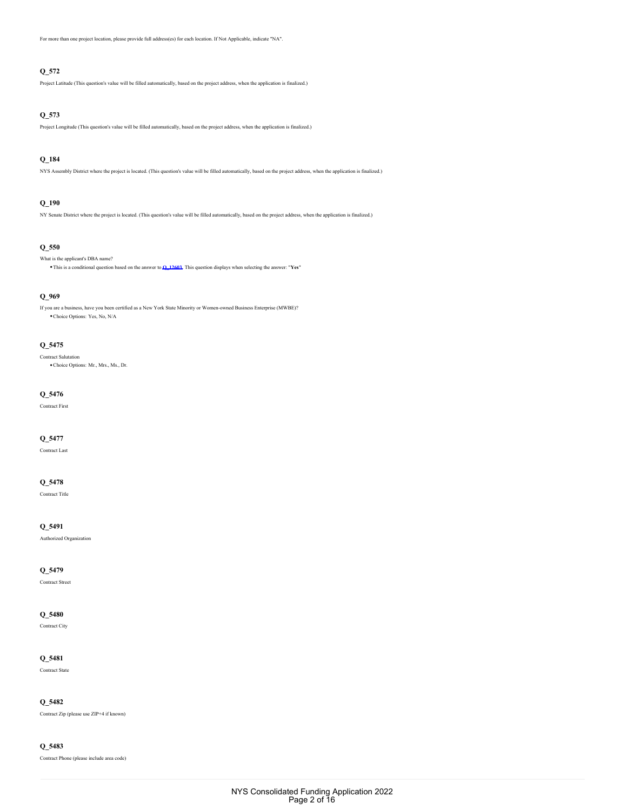For more than one project location, please provide full address(es) for each location. If Not Applicable, indicate "NA".

# **Q\_572**

Project Latitude (This question's value will be filled automatically, based on the project address, when the application is finalized.)

# **Q\_573**

Project Longitude (This question's value will be filled automatically, based on the project address, when the application is finalized.)

# **Q\_184**

NYS Assembly District where the project is located. (This question's value will be filled automatically, based on the project address, when the application is finalized.)

# **Q\_190**

NY Senate District where the project is located. (This question's value will be filled automatically, based on the project address, when the application is finalized.)

# **Q\_550**

What is the applicant's DBA name?

This is a conditional question based on the answer to **[Q\\_12603](#page-2-0)**. This question displays when selecting the answer: "**Yes**"

### **Q\_969**

If you are a business, have you been certified as a New York State Minority or Women-owned Business Enterprise (MWBE)? Choice Options: Yes, No, N/A

# **Q\_5475**

Contract Salutation Choice Options: Mr., Mrs., Ms., Dr.

### **Q\_5476**

Contract First

# **Q\_5477**

Contract Last

### **Q\_5478**

Contract Title

### **Q\_5491**

Authorized Organization

# **Q\_5479**

Contract Street

# **Q\_5480**

Contract City

### **Q\_5481**

Contract State

### **Q\_5482**

Contract Zip (please use ZIP+4 if known)

### **Q\_5483**

Contract Phone (please include area code)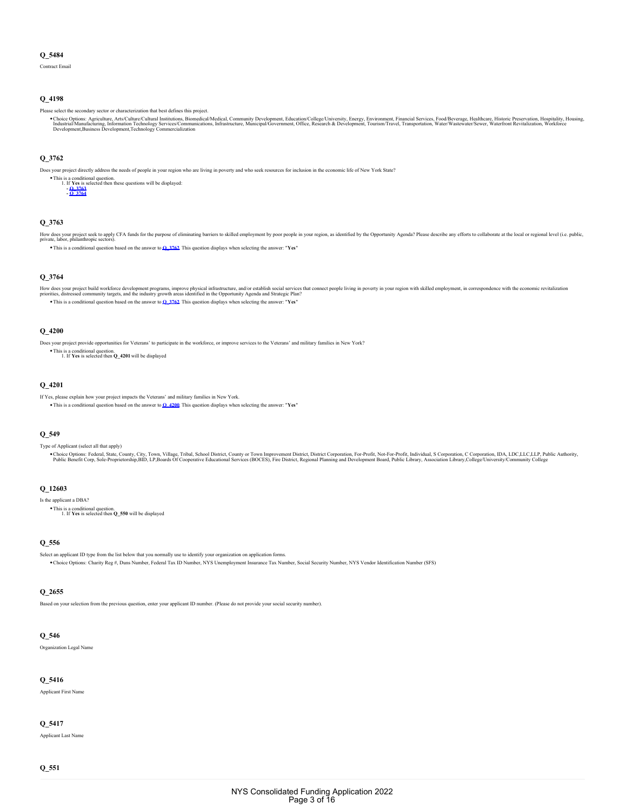Contract Email

# **Q\_4198**

Please select the secondary sector or characterization that best defines this project.

Choice Options: Agriculture, Arts/Culture/Cultural Institutions, Biomedical/Medical, Community Development, Education/College/University, Energy, Environment, Financial Services, Food/Beverage, Healthcare, Historic Preserv

# <span id="page-2-3"></span>**Q\_3762**

Does your project directly address the needs of people in your region who are living in poverty and who seek resources for inclusion in the economic life of New York State?

This is a conditional question. If **Yes** is selected then these questions will be displayed: 1. **- [Q\\_3763](#page-2-1) - [Q\\_3764](#page-2-2)**

# <span id="page-2-1"></span>**Q\_3763**

How does your project seck to apply CFA funds for the purpose of eliminating barriers to skilled employment by poor people in your region, as identified by the Opportunity Agenda? Please describe any efforts to collaborate This is a conditional question based on the answer to **[Q\\_3762](#page-2-3)**. This question displays when selecting the answer: "**Yes**"

# <span id="page-2-2"></span>**Q\_3764**

How does your project build workforce development programs, improve physical infrastructure, and/or establish social services that connect people living in poverty in your region with skilled employment, in correspondence This is a conditional question based on the answer to **[Q\\_3762](#page-2-3)**. This question displays when selecting the answer: "**Yes**"

# <span id="page-2-4"></span>**Q\_4200**

Does your project provide opportunities for Veterans' to participate in the workforce, or improve services to the Veterans' and military families in New York?

This is a conditional question. 1. If **Yes** is selected then **Q\_4201** will be displayed

#### **Q\_4201**

If Yes, please explain how your project impacts the Veterans' and military families in New York.

This is a conditional question based on the answer to **[Q\\_4200](#page-2-4)**. This question displays when selecting the answer: "**Yes**"

#### **Q\_549**

Type of Applicant (select all that apply)

Choice Options: Federal, State, County, City, Town, Village, Tribal, School District, County or Town Improvement District, District Corporation, For-Profit, Not-For-Profit, Notel Are School and Schools Properation, Composi

# <span id="page-2-0"></span>**Q\_12603**

Is the applicant a DBA?

This is a conditional question. 1. If **Yes** is selected then **Q\_550** will be displayed

# **Q\_556**

Select an applicant ID type from the list below that you normally use to identify your organization on application forms. Choice Options: Charity Reg #, Duns Number, Federal Tax ID Number, NYS Unemployment Insurance Tax Number, Social Security Number, NYS Vendor Identification Number (SFS)

# **Q\_2655**

Based on your selection from the previous question, enter your applicant ID number. (Please do not provide your social security number).

# **Q\_546**

Organization Legal Name

#### **Q\_5416**

Applicant First Name

### **Q\_5417**

Applicant Last Name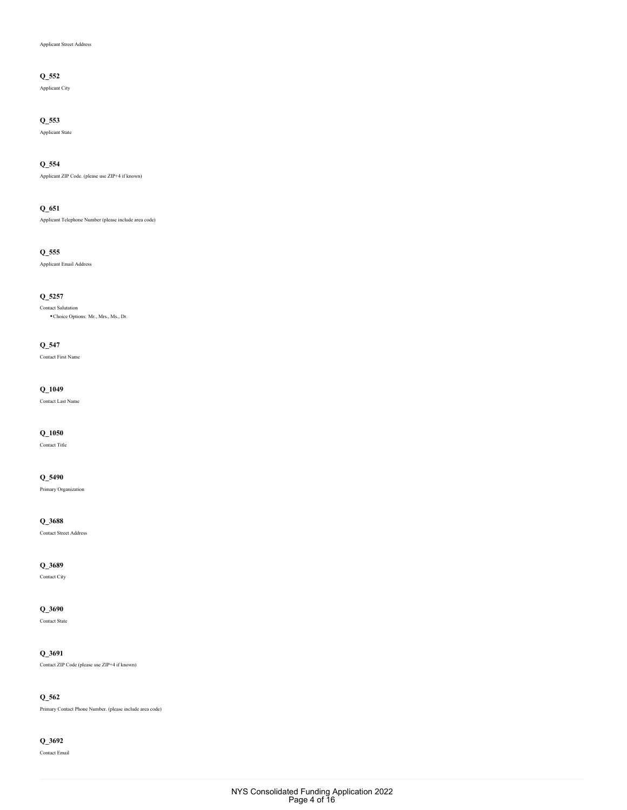### Applicant Street Address

# **Q\_552**

Applicant City

# **Q\_553**

Applicant State

# **Q\_554**

Applicant ZIP Code. (please use ZIP+4 if known)

# **Q\_651**

Applicant Telephone Number (please include area code)

# **Q\_555**

Applicant Email Address

# **Q\_5257**

Contact Salutation Choice Options: Mr., Mrs., Ms., Dr.

# **Q\_547**

Contact First Name

# **Q\_1049**

Contact Last Name

# **Q\_1050**

Contact Title

# **Q\_5490**

Primary Organization

### **Q\_3688**

Contact Street Address

# **Q\_3689**

Contact City

# **Q\_3690**

Contact State

# **Q\_3691**

Contact ZIP Code (please use ZIP+4 if known)

# **Q\_562**

Primary Contact Phone Number. (please include area code)

# **Q\_3692**

Contact Email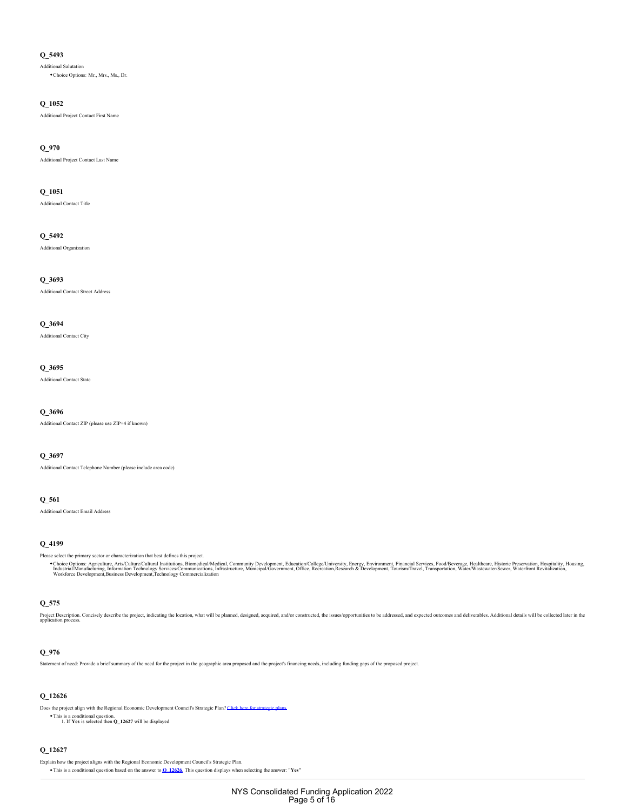Additional Salutation Choice Options: Mr., Mrs., Ms., Dr.

# **Q\_1052**

Additional Project Contact First Name

#### **Q\_970**

Additional Project Contact Last Name

# **Q\_1051**

Additional Contact Title

# **Q\_5492**

Additional Organization

# **Q\_3693**

Additional Contact Street Address

#### **Q\_3694**

Additional Contact City

# **Q\_3695**

Additional Contact State

# **Q\_3696**

Additional Contact ZIP (please use ZIP+4 if known)

# **Q\_3697**

Additional Contact Telephone Number (please include area code)

# **Q\_561**

Additional Contact Email Address

# **Q\_4199**

Please select the primary sector or characterization that best defines this project.

Choice Options: Agriculture, Arts/Culture/Cultural Institutions, Biomedical/Medical, Community Development, Education/College/University, Energy, Environment, Financial Services, Food/Beverage, Healthcare, Historic Preserv

# **Q\_575**

Project Description. Concisely describe the project, indicating the location, what will be planned, designed, acquired, and/or constructed, the issues/opportunities to be addressed, and expected outcomes and deliverables.

# **Q\_976**

Statement of need: Provide a brief summary of the need for the project in the geographic area proposed and the project's financing needs, including funding gaps of the proposed project.

# <span id="page-4-0"></span>**Q\_12626**

Does the project align with the Regional Economic Development Council's Strategic Plan? Click here for strate

This is a conditional question. 1. If **Yes** is selected then **Q\_12627** will be displayed

#### **Q\_12627**

Explain how the project aligns with the Regional Economic Development Council's Strategic Plan.

This is a conditional question based on the answer to **[Q\\_12626](#page-4-0)**. This question displays when selecting the answer: "**Yes**"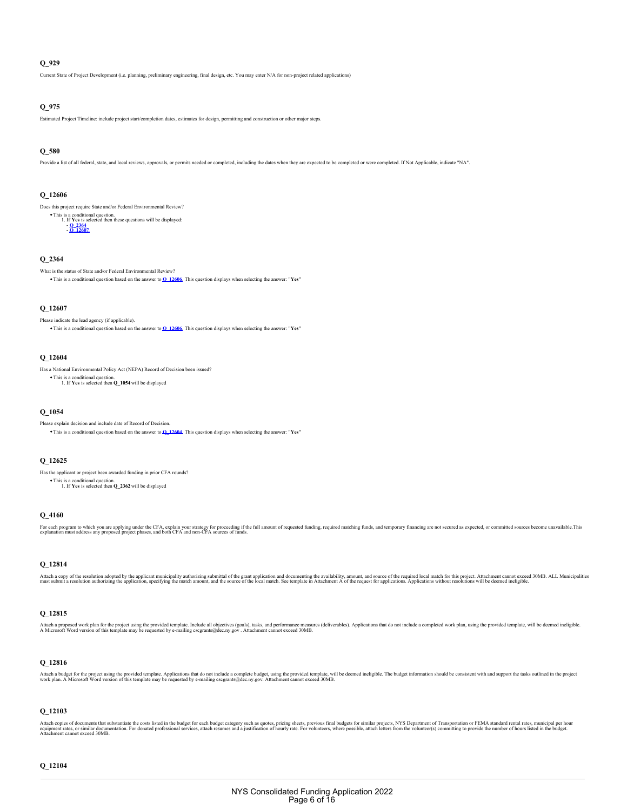Current State of Project Development (i.e. planning, preliminary engineering, final design, etc. You may enter N/A for non-project related applications)

# **Q\_975**

Estimated Project Timeline: include project start/completion dates, estimates for design, permitting and construction or other major steps.

# **Q\_580**

Provide a list of all federal, state, and local reviews, approvals, or permits needed or completed, including the dates when they are expected to be completed or were completed. If Not Applicable, indicate "NA".

#### <span id="page-5-2"></span>**Q\_12606**

Does this project require State and/or Federal Environmental Review?

This is a conditional question.<br>
1. If **Yes** is selected then these questions will be displayed:<br> **- <u>[Q\\_12607](#page-5-1)</u>**<br> **- Q\_12607** 1.

# <span id="page-5-0"></span>**Q\_2364**

What is the status of State and/or Federal Environmental Review? This is a conditional question based on the answer to **[Q\\_12606](#page-5-2)**. This question displays when selecting the answer: "**Yes**"

### <span id="page-5-1"></span>**Q\_12607**

Please indicate the lead agency (if applicable). This is a conditional question based on the answer to **[Q\\_12606](#page-5-2)**. This question displays when selecting the answer: "**Yes**"

### <span id="page-5-3"></span>**Q\_12604**

Has a National Environmental Policy Act (NEPA) Record of Decision been issued? This is a conditional question. 1. If **Yes** is selected then **Q\_1054** will be displayed

### **Q\_1054**

Please explain decision and include date of Record of Decision. This is a conditional question based on the answer to **[Q\\_12604](#page-5-3)**. This question displays when selecting the answer: "**Yes**"

### **Q\_12625**

Has the applicant or project been awarded funding in prior CFA rounds? This is a conditional question. 1. If **Yes** is selected then **Q\_2362** will be displayed

# **Q\_4160**

For each program to which you are applying under the CFA, explain your strategy for proceeding if the full amount of requested funding, required matching funds, and temporary financing are not secured as expected, or commi

# **Q\_12814**

Attach a copy of the resolution adopted by the application, specifying university authorizing submittal of the grant application and documenting the availability, amount, and the source of the local match. See template in

# **Q\_12815**

Attach a proposed work plan for the project using the provided template. Include all objectives (geals), tasks, and performance measures (deliverables). Applications that do not include a completed work plan, using the pro

# **Q\_12816**

Attach a budget for the project using the provided template. Applications that do not include a complete budget, using the provided template, will be deemed ineligible. The budget information should be consistent with and

#### **Q\_12103**

Attach copies of documents that substantiate the costs listed in the budget for each budget category such as quotes, pricing sheets, previous final budgets for similar projects, NYS Department of Transportation or FEMA sta

### **Q\_12104**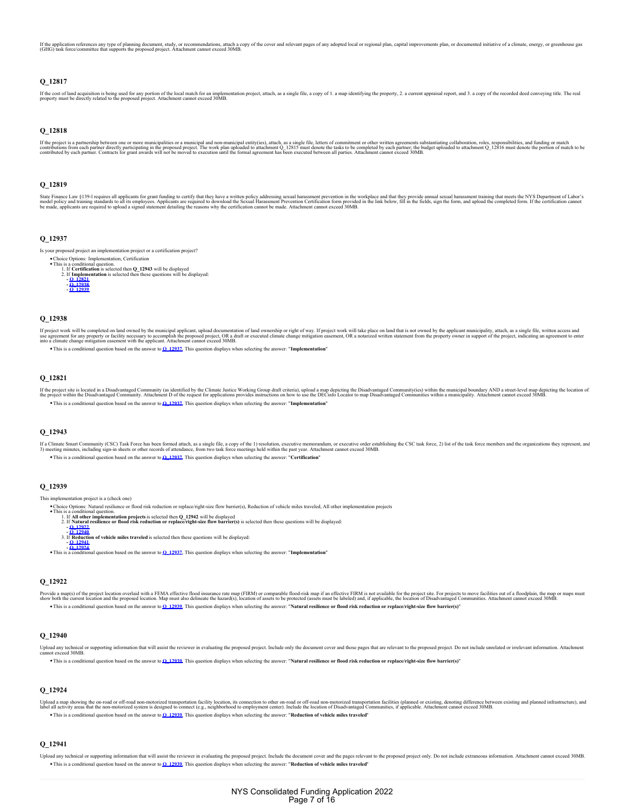If the application references any type of planing document, study, or recommendations, attach a copy of the cover and relevant pages of any adopted local or regional plan, capital improvements plan, or documented initiativ

# **Q\_12817**

If the cost of land acquistion is being used for any portion of the local match for an implemetation project, attach, as a single file, a copy of 1. a map identifying the property, 2. a current appraisal report, and 3. a c

### **Q\_12818**

If the project is a partnership between one or more municipalities or a municipal and non-municipal entity(ies), attach, as a single file, letters of commitment or other written agreements substantiating collaboration, rol

# **Q\_12819**

State Finance Law §139-I requires all applicants for grant funding to certify that they have a written policy addressing sexual harassment prevention in the workplace and that they provide annual sexual harassment training

# <span id="page-6-3"></span>**Q\_12937**

Is your proposed project an implementation project or a certification project?

- Choice Options: Implementation, Certification<br>This is a conditional question.<br>1. If Certification is selected then Q\_12943 will be displayed<br>2. If **Implementation** is selected then these questions will be displayed:
	- 2.



# <span id="page-6-1"></span>**Q\_12938**

If project work will be completed on land owned by the municipal applicant, upload documentation of land ownership or right of way. If project work will take place on land that is not owned by the applicant municipality, a

This is a conditional question based on the answer to **[Q\\_12937](#page-6-3)**. This question displays when selecting the answer: "**Implementation**"

# <span id="page-6-0"></span>**Q\_12821**

If the project site is located in a Disadvantaged Community (as identified by the Climate Justice Working Group draft critical, upload a map depicting the Disadvantaged Community issuant meaning busines with in a municipal This is a conditional question based on the answer to **[Q\\_12937](#page-6-3)**. This question displays when selecting the answer: "**Implementation**"

### **Q\_12943**

If a Climate Smart Community (CSC) Task Force has been formed attach, as a single file, a copy of the 1) resolution, executive memorandum, or executive order establishing the CSC task force, 2) list of the task force memen This is a conditional question based on the answer to **[Q\\_12937](#page-6-3)**. This question displays when selecting the answer: "**Certification**"

### <span id="page-6-2"></span>**Q\_12939**

This implementation project is a (check one)

Choice Options: Natural resilience or flood risk reduction or replace/right-size flow barrier(s), Reduction of vehicle miles traveled, All other implementation projects This is a conditional question.

1. If All other implementation projects is selected then Q\_12942 will be displayed<br>2. If Natural resilience or flood risk reduction or replace/right-size flow barrier(s) is selected then these questions will be displayed:<br>

- **[Q\\_12940](#page-6-5)** If **Reduction of vehicle miles traveled** is selected then these questions will be displayed: 3.
- 

**- [Q\\_12941](#page-6-6) - [Q\\_12924](#page-6-7)** This is a conditional question based on the answer to **[Q\\_12937](#page-6-3)**. This question displays when selecting the answer: "**Implementation**"

### <span id="page-6-4"></span>**Q\_12922**

Provide a map(s) of the project location overlaid with a FEMA effective flood insurance rate map (FIRM) or comparable flood-risk map if an effective FIRM is not available for the projects of the proposed location of a subs This is a conditional question based on the answer to **[Q\\_12939](#page-6-2)**. This question displays when selecting the answer: "**Natural resilience or flood risk reduction or replace/right-size flow barrier(s)**"

### <span id="page-6-5"></span>**Q\_12940**

Upload any technical or supporting information that will assist the reviewer in evaluating the proposed project. Include only the document cover and those pages that are relevant to the proposed project. Do not include unr

This is a conditional question based on the answer to **[Q\\_12939](#page-6-2)**. This question displays when selecting the answer: "**Natural resilience or flood risk reduction or replace/right-size flow barrier(s)**"

#### <span id="page-6-7"></span>**Q\_12924**

Upload amap showing the on-road or off-road non-motorized transportation facility location, its connection to other on-road or off-road non-motorized system subsequentions (in lange of communities, if applicable. Attachmen This is a conditional question based on the answer to **[Q\\_12939](#page-6-2)**. This question displays when selecting the answer: "**Reduction of vehicle miles traveled**"

### <span id="page-6-6"></span>**Q\_12941**

Upload any technical or supporting information that will assist the reviewer in evaluating the proposed project. Include the document cover and the pages relevant to the proposed project only. Do not include extraneous inf This is a conditional question based on the answer to **[Q\\_12939](#page-6-2)**. This question displays when selecting the answer: "**Reduction of vehicle miles traveled**"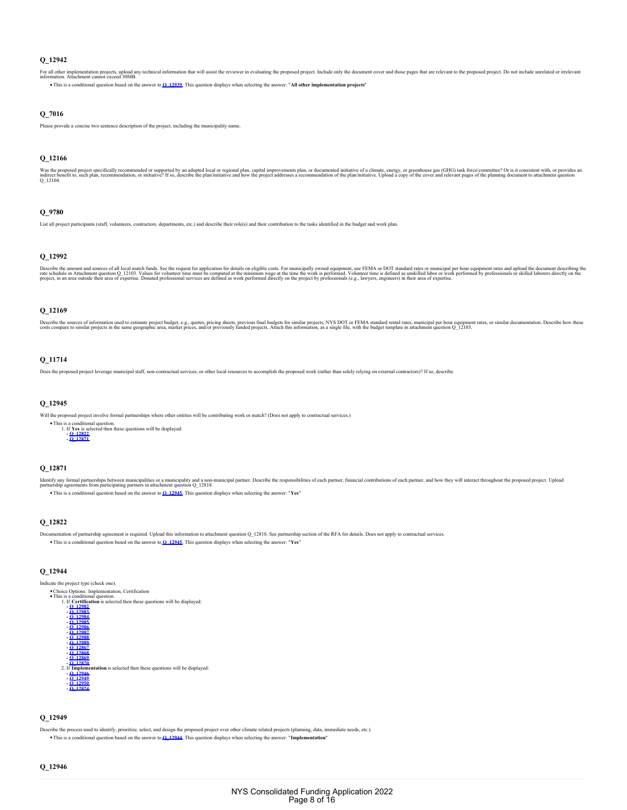For all other implementation projects, upload any technical information that will assist the reviewer in evaluating the proposed project. Include only the document cover and those pages that are relevant to the proposed pr This is a conditional question based on the answer to **[Q\\_12939](#page-6-2)**. This question displays when selecting the answer: "**All other implementation projects**"

**Q\_7016**

Please provide a concise two sentence description of the project, including the municipality name.

#### **Q\_12166**

Was the proposed project specifically recommended or supported by an adopted local or regional plan, capital improvements plan, or documented initiative of a climate, energy, or greenhouse gas (GHG) task force/committe? Or

#### **Q\_9780**

List all project participants (staff, volunteers, contractors, departments, etc.) and describe their role(s) and their contribution to the tasks identified in the budget and work plan.

#### **Q\_12992**

Describe the amount and sources of all local match funds. See the request for application for details on eligible costs. For municipally owned equipment, use FEMA or DOT standard rates or municipal per hour equipment rates

### **Q\_12169**

Describe the sources of information used to estimate project budget, e.g., quotes, previses, previous final budgets for similar projects, NYS DOT or FEMA standard rental rates, municipal per hour equipment rates, or simila

# **Q\_11714**

Does the proposed project leverage municipal staff, non-contractual services, or other local resources to accomplish the proposed work (rather than solely relying on external contractors)? If so, describe.

# <span id="page-7-2"></span>**Q\_12945**

Will the proposed project involve formal partnerships where other entities will be contributing work or match? (Does not apply to contractual services.)

This is a conditional question.<br>
1. If **Yes** is selected then these questions will be displayed:<br> **- <u>[Q\\_12822](#page-7-0)</u>**<br> **- <u>[Q\\_12871](#page-7-1)</u>** 1.

### <span id="page-7-1"></span>**Q\_12871**

ldentify any formal partnerships between municipalities or a municipal ty and a non-municipal partner. Describe the responsibilities of each partner, financial contributions of each partner, and how they will interact thro

This is a conditional question based on the answer to **[Q\\_12945](#page-7-2)**. This question displays when selecting the answer: "**Yes**"

# <span id="page-7-0"></span>**Q\_12822**

Documentation of partnership agreement is required. Upload this information to attachment question Q\_12818. See partnership section of the RFA for details. Does not apply to contractual services.

This is a conditional question based on the answer to **[Q\\_12945](#page-7-2)**. This question displays when selecting the answer: "**Yes**"

# <span id="page-7-5"></span>**Q\_12944**



# <span id="page-7-4"></span>**Q\_12949**

Describe the process used to identify, prioritize, select, and design the proposed project over other climate related projects (planning, data, immediate needs, etc.). This is a conditional question based on the answer to **[Q\\_12944](#page-7-5)**. This question displays when selecting the answer: "**Implementation**"

<span id="page-7-3"></span>**Q\_12946**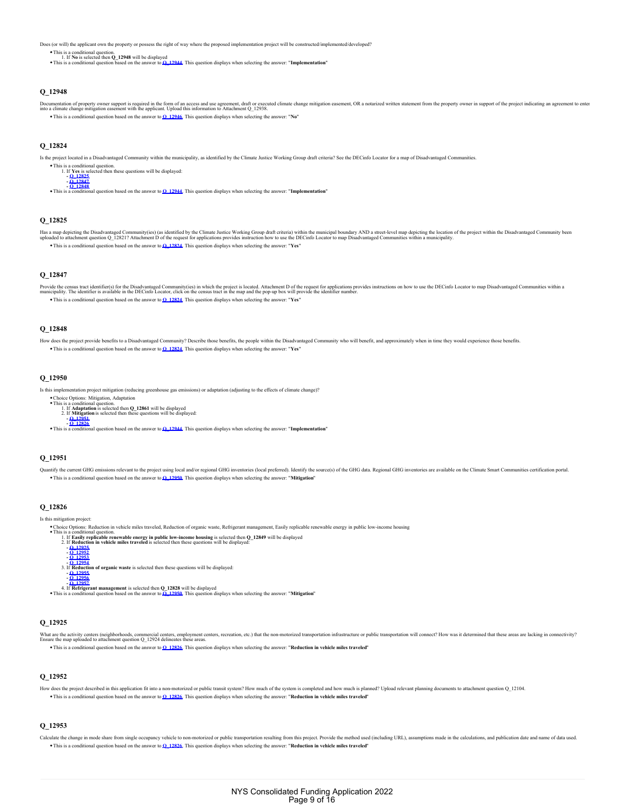Does (or will) the applicant own the property or possess the right of way where the proposed implementation project will be constructed/implemented/developed?

This is a conditional question.<br>Ⅰ . If No is selected then **Q\_12948** will be displayed<br>This is a conditional question based on the answer to <u>[Q\\_12944](#page-7-5)</u>. This question displays when selecting the answer: "I**mplementation**"

### **Q\_12948**

Documentation of property owner support is required in the form of an access and use agreement, that or exceude change mitgation easement, OR a notarized written statement from the property owner in support of the project This is a conditional question based on the answer to **[Q\\_12946](#page-7-3)**. This question displays when selecting the answer: "**No**"

<span id="page-8-1"></span>**Q\_12824**

Is the project located in a Disadvantaged Community within the municipality, as identified by the Climate Justice Working Group draft criteria? See the DECinfo Locator for a map of Disadvantaged Communities.



#### <span id="page-8-2"></span>**Q\_12825**

Has a may depicting the Disadvantaged Community(ies) (as identified by the Climate Justice Working Group draft criteria) within the Discussed boundary AND a street-level map dipository in the distribution of the project wi This is a conditional question based on the answer to **[Q\\_12824](#page-8-1)**. This question displays when selecting the answer: "**Yes**"

### <span id="page-8-3"></span>**Q\_12847**

Provide the census tract identifor(s) for the Disadvantaged Community(ies) in which the project is located. Attachment D of the request for applications provides instructions on how to use the DECinfo Locator to map Disadv This is a conditional question based on the answer to **[Q\\_12824](#page-8-1)**. This question displays when selecting the answer: "**Yes**"

#### <span id="page-8-4"></span>**Q\_12848**

How does the project provide benefits to a Disadvantaged Community? Describe those benefits, the people within the Disadvantaged Community who will benefit, and approximately when in time they would experience those benefi This is a conditional question based on the answer to **[Q\\_12824](#page-8-1)**. This question displays when selecting the answer: "**Yes**"

### <span id="page-8-0"></span>**Q\_12950**

Is this implementation project mitigation (reducing greenhouse gas emissions) or adaptation (adjusting to the effects of climate change)?

Choice Options: Mitigation, Adaptation<br>This is a conditional question.<br>1. If Adaptation is selected then Q\_12861 will be displayed<br>2. If Mitigation is selected then these questions will be displayed:<br>-  $\frac{0.12851}{0.12826$ 

2.

This is a conditional question based on the answer to **[Q\\_12944](#page-7-5)**. This question displays when selecting the answer: "**Implementation**"

### <span id="page-8-5"></span>**Q\_12951**

Quantify the current GHG emissions relevant to the project using local and/or regional GHG inventories (local preferred). Identify the source(s) of the GHG data. Regional GHG inventories are available on the Climate Smart This is a conditional question based on the answer to **[Q\\_12950](#page-8-0)**. This question displays when selecting the answer: "**Mitigation**"

#### <span id="page-8-6"></span>**Q\_12826**

Is this mitigation project:

- - Choice Options: Reduction in vehicle miles traveled, Reduction of organic waste, Refrigerant management, Easily replicable renewable energy in public low-income housing<br>This is a conditional question.<br>1. If **Reduction in v**
	- **[Q\\_12952](#page-8-8) [Q\\_12953](#page-8-9) - [Q\\_12954](#page-8-10)** If **Reduction of organic waste** is selected then these questions will be displayed: 3. **- [Q\\_12955](#page-9-0) - [Q\\_12956](#page-9-1)**

 $-$  0 12957<br>4. If **Refrigerant management** is selected then Q 12828 will be displayed<br>This is a conditional question based on the answer to Q 12950. This question displays when selecting the answer: "Mitigation"

### <span id="page-8-7"></span>**Q\_12925**

What are the activity centers (neighborhoods, commercial centers, employment centers, recreation, etc.) that the non-motorized transportation infrastructure or public transportation will connect? How was it determined that

This is a conditional question based on the answer to **[Q\\_12826](#page-8-6)**. This question displays when selecting the answer: "**Reduction in vehicle miles traveled**"

# <span id="page-8-8"></span>**Q\_12952**

How does the project described in this application fit into a non-motorized or public transit system? How much of the system is completed and how much is planned? Upload relevant planning documents to attachment question Q This is a conditional question based on the answer to **[Q\\_12826](#page-8-6)**. This question displays when selecting the answer: "**Reduction in vehicle miles traveled**"

### <span id="page-8-9"></span>**Q\_12953**

<span id="page-8-10"></span>Calculate the change in mode share from single occupancy vehicle to non-motorized or public transportation resulting from this project. Provide the method used (including URL), assumptions made in the calculations, and pub This is a conditional question based on the answer to **[Q\\_12826](#page-8-6)**. This question displays when selecting the answer: "**Reduction in vehicle miles traveled**"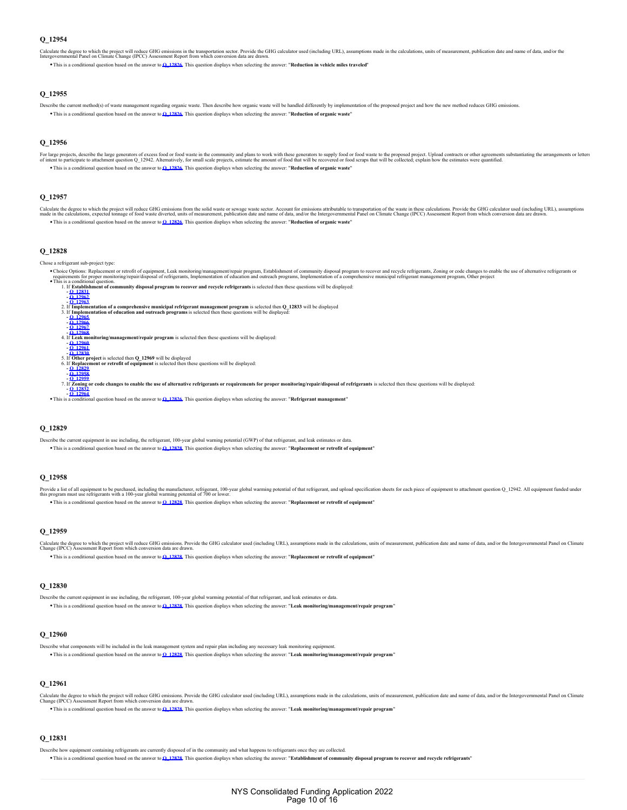Calculate the degree to which the project will reduce GHG emissions in the transportation sector. Provide the calculator used (including URL), assumptions made in the calculations, units of measurement, publication date an

This is a conditional question based on the answer to **[Q\\_12826](#page-8-6)**. This question displays when selecting the answer: "**Reduction in vehicle miles traveled**"

### <span id="page-9-0"></span>**Q\_12955**

Describe the current method(s) of waste management regarding organic waste. Then describe how organic waste will be handled differently by implementation of the proposed project and how the new method reduces GHG em This is a conditional question based on the answer to **[Q\\_12826](#page-8-6)**. This question displays when selecting the answer: "**Reduction of organic waste**"

#### <span id="page-9-1"></span>**Q\_12956**

For large projects, describe the large generators of excess food or food wast in the community and plans to work with these generatos to supply food or food wate to the proposed projects, collect explane the amount of food This is a conditional question based on the answer to **[Q\\_12826](#page-8-6)**. This question displays when selecting the answer: "**Reduction of organic waste**"

### <span id="page-9-2"></span>**Q\_12957**

Calculate the degree to which the project will reduce GHG emissions from the solid waste or sewage waste sector. Account for emissions attributable to transportation of the waste in these calculations. Provide the reduced This is a conditional question based on the answer to **[Q\\_12826](#page-8-6)**. This question displays when selecting the answer: "**Reduction of organic waste**"

### <span id="page-9-10"></span>**Q\_12828**

Chose a refrigerant sub-project type:

Choice Options: Replacement or retrofit of equipment, Leak monitoring/management/repair program, Establishment of community disposal program to recover and recycle refrigerants, Zoning or code changes to enable the use of



# <span id="page-9-7"></span>**Q\_12829**

Describe the current equipment in use including, the refrigerant, 100-year global warning potential (GWP) of that refrigerant, and leak estimates or data.

This is a conditional question based on the answer to **[Q\\_12828](#page-9-10)**. This question displays when selecting the answer: "**Replacement or retrofit of equipment**"

#### <span id="page-9-8"></span>**Q\_12958**

Provide a list of all equipment to be purchased, including the manufacturer, refrigerant, 100-year global warming potential of that refrigerant, and upload specification sheets for each piece of equipment to attachment qu This is a conditional question based on the answer to **[Q\\_12828](#page-9-10)**. This question displays when selecting the answer: "**Replacement or retrofit of equipment**"

#### <span id="page-9-9"></span>**Q\_12959**

Calculate the degree to which the project will reduce GHS anissions. Provide the GHG calculator used (including URL), assumptions made in the calculations, units of measurement, publication date and name of data, and/or th

This is a conditional question based on the answer to **[Q\\_12828](#page-9-10)**. This question displays when selecting the answer: "**Replacement or retrofit of equipment**"

# <span id="page-9-6"></span>**Q\_12830**

Describe the current equipment in use including, the refrigerant, 100-year global warming potential of that refrigerant, and leak estimates or data. This is a conditional question based on the answer to **[Q\\_12828](#page-9-10)**. This question displays when selecting the answer: "**Leak monitoring/management/repair program**"

# <span id="page-9-4"></span>**Q\_12960**

Describe what components will be included in the leak management system and repair plan including any necessary leak monitoring equipment. This is a conditional question based on the answer to **[Q\\_12828](#page-9-10)**. This question displays when selecting the answer: "**Leak monitoring/management/repair program**"

#### <span id="page-9-5"></span>**Q\_12961**

Calculate the degree to which the project will reduce GHS calculate the SHG calculator used (including URL), assumptions made in the calculations, units of measurement, publication date and name of data, and/or the Intergo

This is a conditional question based on the answer to **[Q\\_12828](#page-9-10)**. This question displays when selecting the answer: "**Leak monitoring/management/repair program**"

# <span id="page-9-3"></span>**Q\_12831**

Describe how equipment containing refrigerants are currently disposed of in the community and what happens to refrigerants once they are collected.

This is a conditional question based on the answer to **[Q\\_12828](#page-9-10)**. This question displays when selecting the answer: "**Establishment of community disposal program to recover and recycle refrigerants**"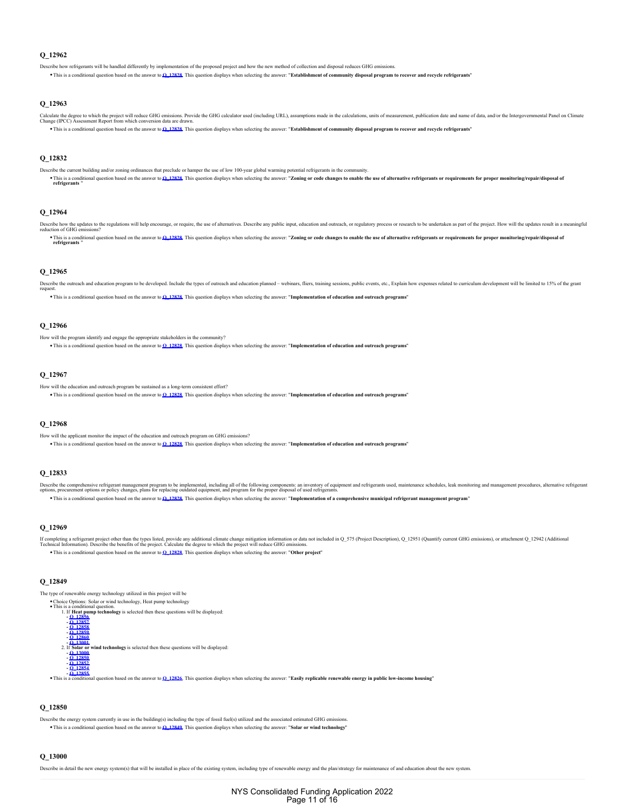<span id="page-10-0"></span>Describe how refrigerants will be handled differently by implementation of the proposed project and how the new method of collection and disposal reduces GHG emis

This is a conditional question based on the answer to **[Q\\_12828](#page-9-10)**. This question displays when selecting the answer: "**Establishment of community disposal program to recover and recycle refrigerants**"

#### <span id="page-10-1"></span>**Q\_12963**

Calculate the degree to which the project will reduce GHS calculate the SHG calculator used (including URL), assumptions made in the calculations, units of measurement, publication date and name of data, and/or the Intergo This is a conditional question based on the answer to **[Q\\_12828](#page-9-10)**. This question displays when selecting the answer: "**Establishment of community disposal program to recover and recycle refrigerants**"

### <span id="page-10-6"></span>**Q\_12832**

Describe the current building and/or zoning ordinances that preclude or hamper the use of low 100-year global warming potential refrigerants in the community. This is a conditional question based on the answer to <u>O 12828.</u> This question displays when selecting the answer: "Zon**ing or code changes to enable the use of alternative refrigerants or requirements for proper monitorin** 

### <span id="page-10-7"></span>**Q\_12964**

Describe how the updates to the regulations will help encourage, or require, the use of alternatives. Describe any public input, education and outreach, or regulatory process or research to be undertaken as part of the pro

This is a conditional question based on the answer to <u>O. 12828.</u> This question displays when selecting the answer: "Zon**ing or code changes to enable the use of alternative refrigerants or requirements for proper monitori** 

# <span id="page-10-2"></span>**Q\_12965**

Describe the outreach and education program to be developed. Include the types of outreach and education planned - webinars, fliers, training sessions, public events, etc., Explain how expenses related to curriculum develo request.

This is a conditional question based on the answer to **[Q\\_12828](#page-9-10)**. This question displays when selecting the answer: "**Implementation of education and outreach programs**"

#### <span id="page-10-3"></span>**Q\_12966**

How will the program identify and engage the appropriate stakeholders in the community?

This is a conditional question based on the answer to **[Q\\_12828](#page-9-10)**. This question displays when selecting the answer: "**Implementation of education and outreach programs**"

#### <span id="page-10-4"></span>**Q\_12967**

How will the education and outreach program be sustained as a long-term consistent effort?

This is a conditional question based on the answer to **[Q\\_12828](#page-9-10)**. This question displays when selecting the answer: "**Implementation of education and outreach programs**"

#### <span id="page-10-5"></span>**Q\_12968**

How will the applicant monitor the impact of the education and outreach program on GHG emissions?

This is a conditional question based on the answer to **[Q\\_12828](#page-9-10)**. This question displays when selecting the answer: "**Implementation of education and outreach programs**"

### **Q\_12833**

Describe the comprehensive refrigerant management program to be implemented, including all of the following compoents: an inventory of equipment and refrigerants used, maintenance schedules, leak monitoring and management This is a conditional question based on the answer to **[Q\\_12828](#page-9-10)**. This question displays when selecting the answer: "**Implementation of a comprehensive municipal refrigerant management program**"

#### **Q\_12969**

If completing a refrigerant project other than the types listed, provide any additional climate change mitigation information cordata not included in Q\_575 (Project Description), Q\_12951 (Quantify current GHG emissions), o This is a conditional question based on the answer to **[Q\\_12828](#page-9-10)**. This question displays when selecting the answer: "**Other project**"

# <span id="page-10-10"></span>**Q\_12849**

The type of renewable energy technology utilized in this project will be

• Choice Options: Solar or wind technology, Heat pump technology This is a conditional question.<br>
1. If **Heat pump technology** is selected then these questions will be displayed:<br> **- <u>[Q\\_12857](#page-11-1)</u>**<br> **-** <u>[Q\\_12858](#page-11-2)</u> **- [Q\\_12859](#page-11-3) - [Q\\_12860](#page-11-4)** 1.

**c C13001**<br>2. If **Solar or wind technology** is selected then these questions will be displayed:<br>**- [Q\\_13000](#page-10-8) - [Q\\_12850](#page-10-9) - [Q\\_12852](#page-11-6) - [Q\\_12854](#page-11-7) - [Q\\_12855](#page-11-8)**

This is a conditional question based on the answer to **[Q\\_12826](#page-8-6)**. This question displays when selecting the answer: "**Easily replicable renewable energy in public low-income housing**"

# <span id="page-10-9"></span>**Q\_12850**

Describe the energy system currently in use in the building(s) including the type of fossil fuel(s) utilized and the associated estimated GHG emissions. This is a conditional question based on the answer to **[Q\\_12849](#page-10-10)**. This question displays when selecting the answer: "**Solar or wind technology**"

#### <span id="page-10-8"></span>**Q\_13000**

Describe in detail the new energy system(s) that will be installed in place of the existing system, including type of renewable energy and the plan/strategy for maintenance of and education about the new system.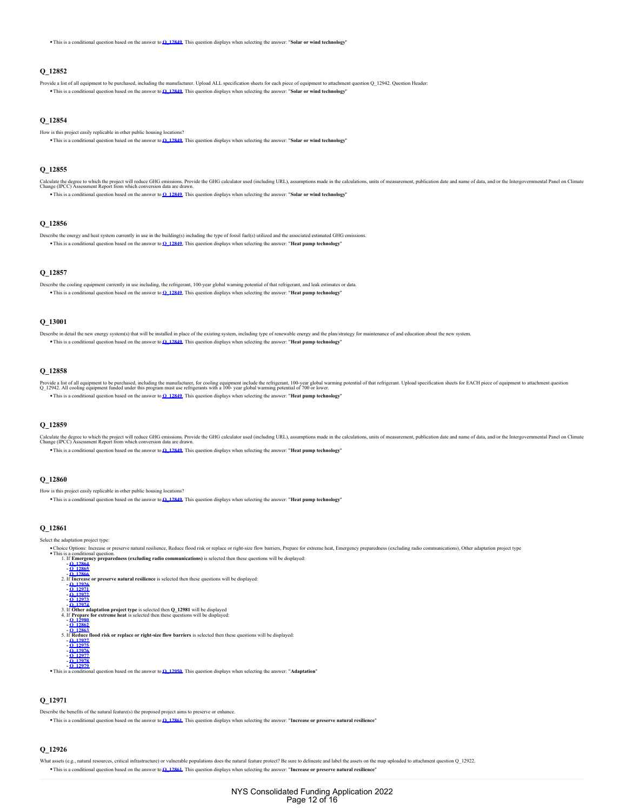This is a conditional question based on the answer to **[Q\\_12849](#page-10-10)**. This question displays when selecting the answer: "**Solar or wind technology**"

#### <span id="page-11-6"></span>**Q\_12852**

Provide a list of all equipment to be purchased, including the manufacturer. Upload ALL specification sheets for each piece of equipment to attachment question Q\_12942. Question Header This is a conditional question based on the answer to **[Q\\_12849](#page-10-10)**. This question displays when selecting the answer: "**Solar or wind technology**"

# <span id="page-11-7"></span>**Q\_12854**

- How is this project easily replicable in other public housing locations?
- <sup>o</sup> This is a conditional question based on the answer to **[Q\\_12849](#page-10-10)**. This question displays when selecting the answer: "Solar or wind technolo

#### <span id="page-11-8"></span>**Q\_12855**

Calculate the degree to which the project will reduce GHS anissions. Provide the GHG calculator used (including URL), assumptions made in the calculations, units of measurement, publication date and name of data, and/or th This is a conditional question based on the answer to **[Q\\_12849](#page-10-10)**. This question displays when selecting the answer: "**Solar or wind technology**"

### <span id="page-11-0"></span>**Q\_12856**

Describe the energy and heat system currently in use in the building(s) including the type of fossil fuel(s) utilized and the associated estimated GHG emiss This is a conditional question based on the answer to **[Q\\_12849](#page-10-10)**. This question displays when selecting the answer: "**Heat pump technology**"

# <span id="page-11-1"></span>**Q\_12857**

Describe the cooling equipment currently in use including, the refrigerant, 100-year global warning potential of that refrigerant, and leak estimates or data. This is a conditional question based on the answer to **[Q\\_12849](#page-10-10)**. This question displays when selecting the answer: "**Heat pump technology**"

### <span id="page-11-5"></span>**Q\_13001**

- Describe in detail the new energy system(s) that will be installed in place of the existing system, including type of renewable energy and the plan/strategy for maintenance of and education about the new system
	- This is a conditional question based on the answer to **[Q\\_12849](#page-10-10)**. This question displays when selecting the answer: "**Heat pump technology**"

# <span id="page-11-2"></span>**Q\_12858**

Provide a list of all equipment to be purchased, including the manufacturer, for cooling equipment include the refrigerant, 100-year global warming potential of that refrigerant. Upload specification sheets for EACH piece

# This is a conditional question based on the answer to **[Q\\_12849](#page-10-10)**. This question displays when selecting the answer: "**Heat pump technology**"

#### <span id="page-11-3"></span>**Q\_12859**

Calculate the degree to which the project will reduce GHS anissions. Provide the GHG calculator used (including URL), assumptions made in the calculations, units of measurement, publication date and name of data, and/or th

This is a conditional question based on the answer to **[Q\\_12849](#page-10-10)**. This question displays when selecting the answer: "**Heat pump technology**"

#### <span id="page-11-4"></span>**Q\_12860**

- How is this project easily replicable in other public housing locations?
- This is a conditional question based on the answer to **[Q\\_12849](#page-10-10)**. This question displays when selecting the answer: "**Heat pump technology**"

#### <span id="page-11-11"></span>**Q\_12861**

#### Select the adaptation project type:

Choice Options: Increase or preserve natural resilience, Reduce flood risk or replace or right-size flow barriers, Prepare for extreme heat, Emergency preparedness (excluding radio communications), Other adaptation project



# <span id="page-11-10"></span>**Q\_12971**

Describe the benefits of the natural feature(s) the proposed project aims to preserve or enhance

This is a conditional question based on the answer to **[Q\\_12861](#page-11-11)**. This question displays when selecting the answer: "**Increase or preserve natural resilience**"

#### <span id="page-11-9"></span>**Q\_12926**

sets (e.g., natural resources, critical infrastructure) or vulnerable populations does the natural feature protect? Be sure to delineate and label the assets on the map uploaded to attachment question Q\_12922. This is a conditional question based on the answer to **[Q\\_12861](#page-11-11)**. This question displays when selecting the answer: "**Increase or preserve natural resilience**"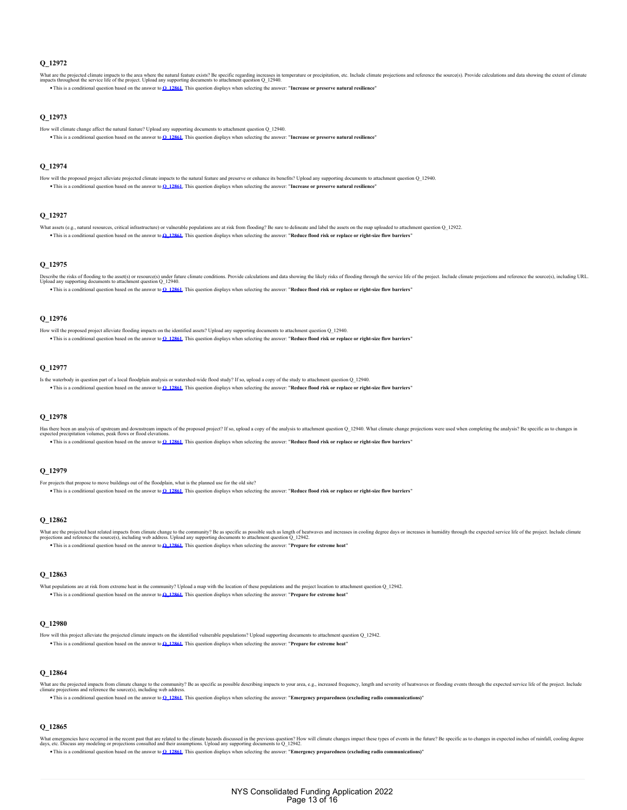<span id="page-12-2"></span>What are the projected climate impacts to the area where the natural feature exists? Be specific regarding increases in temperature or precipitation, etc. Include climate projections and reference the source(s). Provide ca This is a conditional question based on the answer to **[Q\\_12861](#page-11-11)**. This question displays when selecting the answer: "**Increase or preserve natural resilience**"

# <span id="page-12-3"></span>**Q\_12973**

- How will climate change affect the natural feature? Upload any supporting documents to attachment question Q\_12940.
- This is a conditional question based on the answer to **[Q\\_12861](#page-11-11)**. This question displays when selecting the answer: "**Increase or preserve natural resilience**"

#### <span id="page-12-4"></span>**Q\_12974**

How will the proposed project alleviate projected climate impacts to the natural feature and preserve or enhance its benefits? Upload any supporting documents to attachment question Q\_12940. This is a conditional question based on the answer to **[Q\\_12861](#page-11-11)**. This question displays when selecting the answer: "**Increase or preserve natural resilience**"

#### <span id="page-12-8"></span>**Q\_12927**

What assets (e.g., natural resources, critical infrastructure) or vulnerable populations are at risk from flooding? Be sure to delineate and label the assets on the map uploaded to attachment question Q\_12922. This is a conditional question based on the answer to **[Q\\_12861](#page-11-11)**. This question displays when selecting the answer: "**Reduce flood risk or replace or right-size flow barriers**"

#### <span id="page-12-9"></span>**Q\_12975**

Describe the risks of flooding to the asset(s) or resource(s) under future climate conditions. Provide calculations and data showing the likely risks of flooding through the service life of the project. Include climate pro

This is a conditional question based on the answer to **[Q\\_12861](#page-11-11)**. This question displays when selecting the answer: "**Reduce flood risk or replace or right-size flow barriers**"

# <span id="page-12-10"></span>**Q\_12976**

- How will the proposed project alleviate flooding impacts on the identified assets? Upload any supporting documents to attachment question Q\_12940. This is a conditional question based on the answer to **[Q\\_12861](#page-11-11)**. This question displays when selecting the answer: "**Reduce flood risk or replace or right-size flow barriers**"
- 

### <span id="page-12-11"></span>**Q\_12977**

Is the waterbody in question part of a local floodplain analysis or watershed-wide flood study? If so, upload a copy of the study to attachment question Q\_12940. This is a conditional question based on the answer to **[Q\\_12861](#page-11-11)**. This question displays when selecting the answer: "**Reduce flood risk or replace or right-size flow barriers**"

# <span id="page-12-12"></span>**Q\_12978**

Has there been an analysis of upstream and downstream impacts of the proposed project? If so, upload a copy of the analysis to attachment question Q\_12940. What climate change projections were used when completing the anal

This is a conditional question based on the answer to **[Q\\_12861](#page-11-11)**. This question displays when selecting the answer: "**Reduce flood risk or replace or right-size flow barriers**"

# <span id="page-12-13"></span>**Q\_12979**

- For projects that propose to move buildings out of the floodplain, what is the planned use for the old site?
	- This is a conditional question based on the answer to **[Q\\_12861](#page-11-11)**. This question displays when selecting the answer: "**Reduce flood risk or replace or right-size flow barriers**"

#### <span id="page-12-6"></span>**Q\_12862**

What are the projected heat related impacts from climate change to the community? Be as pocific as possible such as length of heatwaves and increases in cooling degree days or increases in humidity through the expected ser This is a conditional question based on the answer to **[Q\\_12861](#page-11-11)**. This question displays when selecting the answer: "**Prepare for extreme heat**"

#### <span id="page-12-7"></span>**Q\_12863**

What populations are at risk from extreme heat in the community? Upload a map with the location of these populations and the project location to attachment question Q\_12942. This is a conditional question based on the answer to **[Q\\_12861](#page-11-11)**. This question displays when selecting the answer: "**Prepare for extreme heat**"

# <span id="page-12-5"></span>**Q\_12980**

How will this project alleviate the projected climate impacts on the identified vulnerable populations? Upload supporting documents to attachment question Q\_12942. This is a conditional question based on the answer to **[Q\\_12861](#page-11-11)**. This question displays when selecting the answer: "**Prepare for extreme heat**"

#### <span id="page-12-0"></span>**Q\_12864**

What are the projected impacts from climate change to the community? Be as specific as possible describing impacts to your area, e.g., increased frequency, length and severity of heatwaves or flooding events through the ex This is a conditional question based on the answer to **[Q\\_12861](#page-11-11)**. This question displays when selecting the answer: "**Emergency preparedness (excluding radio communications)**"

# <span id="page-12-1"></span>**Q\_12865**

What emergencies have occured in the recent past that are related to the climate hazarts discussed in the previous question? How will climate changes impact these types of events in the future? Be specific as to changes in This is a conditional question based on the answer to **[Q\\_12861](#page-11-11)**. This question displays when selecting the answer: "**Emergency preparedness (excluding radio communications)**"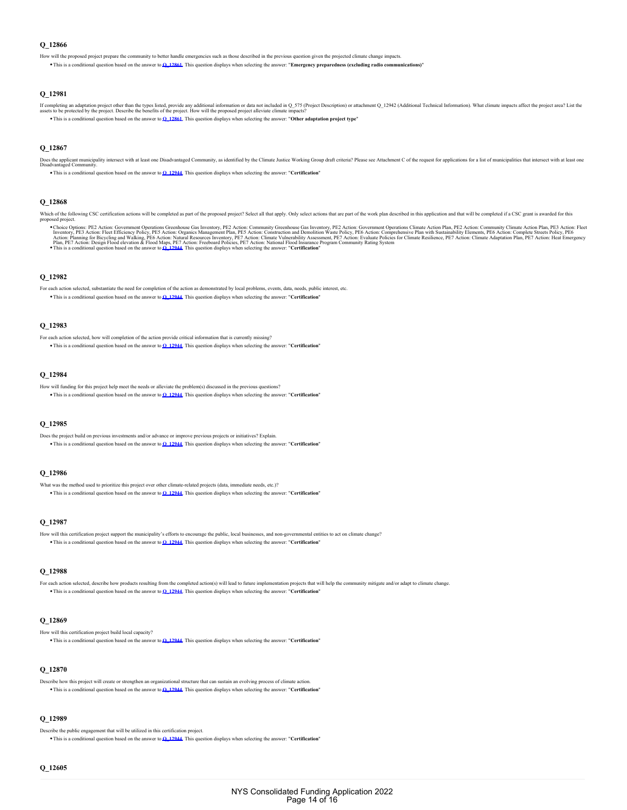<span id="page-13-12"></span>How will the proposed project prepare the community to better handle emergencies such as those described in the previous question given the projected climate change impacts.

This is a conditional question based on the answer to **[Q\\_12861](#page-11-11)**. This question displays when selecting the answer: "**Emergency preparedness (excluding radio communications)**"

### **Q\_12981**

If completing an adaptation project other than the types listed, provide any additional information or attan no CD 575 (Project Description) or attachment Q\_12942 (Additional Technical Information). What climate impacts af This is a conditional question based on the answer to **[Q\\_12861](#page-11-11)**. This question displays when selecting the answer: "**Other adaptation project type**"

#### <span id="page-13-8"></span>**Q\_12867**

Does the applicant municipality intersect with at least one Disadvantaged Community, as identified by the Climate Justice Working Group draft criteria? Please see Attachment C of the request for applications for a list of

This is a conditional question based on the answer to **[Q\\_12944](#page-7-5)**. This question displays when selecting the answer: "**Certification**"

### <span id="page-13-9"></span>**Q\_12868**

Which of the following CSC certification actions will be completed as part of the proposed project? Select all that apply. Only select actions that are part of the work plan described in this application and that will be c proposed project.

Choice Options: PE2 Action: Government Operations Greenhouse Gas Inventory, PE2 Action: For Microsoftenia end Demokration: Conventment Operations Climate Action Plan, PE2 Action: Community Climate Action Plan, PE3 Action:

#### <span id="page-13-0"></span>**Q\_12982**

For each action selected, substantiate the need for completion of the action as demonstrated by local problems, events, data, needs, public interest, etc. This is a conditional question based on the answer to **[Q\\_12944](#page-7-5)**. This question displays when selecting the answer: "**Certification**"

#### <span id="page-13-1"></span>**Q\_12983**

For each action selected, how will completion of the action provide critical information that is currently missing? This is a conditional question based on the answer to **[Q\\_12944](#page-7-5)**. This question displays when selecting the answer: "**Certification**"

#### <span id="page-13-2"></span>**Q\_12984**

How will funding for this project help meet the needs or alleviate the problem(s) discussed in the previous questions? This is a conditional question based on the answer to **[Q\\_12944](#page-7-5)**. This question displays when selecting the answer: "**Certification**"

#### <span id="page-13-3"></span>**Q\_12985**

Does the project build on previous investments and/or advance or improve previous projects or initiatives? Explain. This is a conditional question based on the answer to **[Q\\_12944](#page-7-5)**. This question displays when selecting the answer: "**Certification**"

### <span id="page-13-4"></span>**Q\_12986**

What was the method used to prioritize this project over other climate-related projects (data, immediate needs, etc.)? This is a conditional question based on the answer to **[Q\\_12944](#page-7-5)**. This question displays when selecting the answer: "**Certification**"

### <span id="page-13-5"></span>**Q\_12987**

- How will this certification project support the municipality's efforts to encourage the public, local businesses, and non-governmental entities to act on climate change?
	- This is a conditional question based on the answer to **[Q\\_12944](#page-7-5)**. This question displays when selecting the answer: "**Certification**"

#### <span id="page-13-6"></span>**Q\_12988**

For each action selected, describe how products resulting from the completed action(s) will lead to future implementation projects that will help the community mitigate and/or adapt to climate change This is a conditional question based on the answer to **[Q\\_12944](#page-7-5)**. This question displays when selecting the answer: "**Certification**"

#### <span id="page-13-10"></span>**Q\_12869**

How will this certification project build local capacity? This is a conditional question based on the answer to **[Q\\_12944](#page-7-5)**. This question displays when selecting the answer: "**Certification**"

# <span id="page-13-11"></span>**Q\_12870**

Describe how this project will create or strengthen an organizational structure that can sustain an evolving process of climate action. This is a conditional question based on the answer to **[Q\\_12944](#page-7-5)**. This question displays when selecting the answer: "**Certification**"

# <span id="page-13-7"></span>**Q\_12989**

Describe the public engagement that will be utilized in this certification project. This is a conditional question based on the answer to **[Q\\_12944](#page-7-5)**. This question displays when selecting the answer: "**Certification**"

# <span id="page-13-13"></span>**Q\_12605**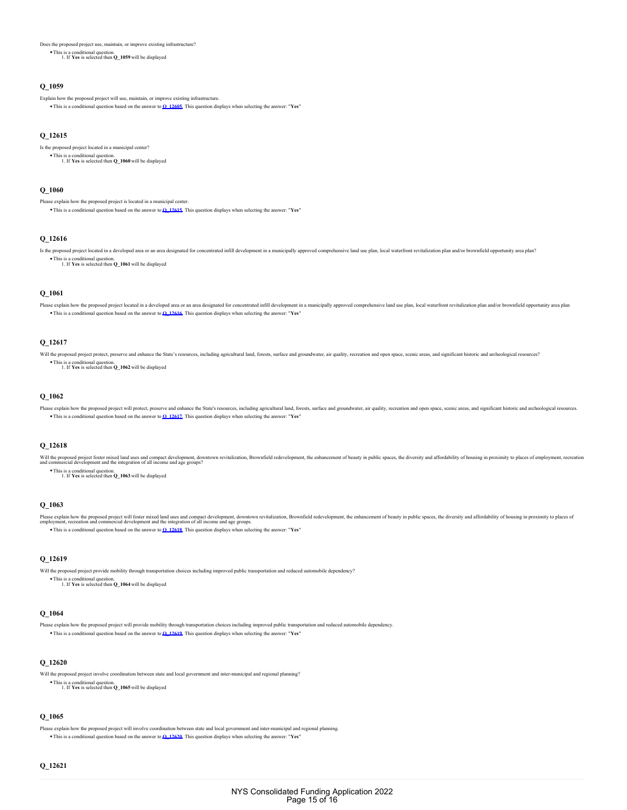Does the proposed project use, maintain, or improve existing infrastructure?

This is a conditional question. 1. If **Yes** is selected then **Q\_1059** will be displayed

### **Q\_1059**

Explain how the proposed project will use, maintain, or improve existing infrastructure.

This is a conditional question based on the answer to **[Q\\_12605](#page-13-13)**. This question displays when selecting the answer: "**Yes**"

# <span id="page-14-0"></span>**Q\_12615**

Is the proposed project located in a municipal center? This is a conditional question. 1. If **Yes** is selected then **Q\_1060** will be displayed

#### **Q\_1060**

Please explain how the proposed project is located in a municipal center. This is a conditional question based on the answer to **[Q\\_12615](#page-14-0)**. This question displays when selecting the answer: "**Yes**"

#### <span id="page-14-1"></span>**Q\_12616**

Is the proposed project located in a developed area or an area designated for concentrated infill development in a municipally approved comprehensive land use plan, local waterfront revitalization plan and/or brownfield op This is a conditional question. 1. If **Yes** is selected then **Q\_1061** will be displayed

# **Q\_1061**

Please explain how the proposed project located in a developed area or an area designated for concentrated infill development in a municipally approved comprehensive land use plan, local waterfront revitalization plan and/ This is a conditional question based on the answer to **[Q\\_12616](#page-14-1)**. This question displays when selecting the answer: "**Yes**"

### <span id="page-14-2"></span>**Q\_12617**

Will the proposed project protect, preserve and enhance the State's resources, including agricultural land, forests, surface and groundwater, air quality, recreation and open space, scenic areas, and significant historic a

This is a conditional question. 1. If **Yes** is selected then **Q\_1062** will be displayed

#### **Q\_1062**

Please explain how the proposed project will protect, preserve and enhance the State's resources, including agricultural land, forests, surface and groundwater, air quality, recreation and open space, scenic areas, and sig This is a conditional question based on the answer to **[Q\\_12617](#page-14-2)**. This question displays when selecting the answer: "**Yes**"

# <span id="page-14-3"></span>**Q\_12618**

Will the proposed project foster mixed land uses and compact development, downtown revitalization, Brownfield redevelopment, the enhancement of beauty in public spaces, the diversity and affordability of housing in proximi

This is a conditional question. 1. If **Yes** is selected then **Q\_1063** will be displayed

# **Q\_1063**

Please explain how the proposed project will foster mixed land uses and compact development of beamperated redevelopment, the enhancement of beauty in public spaces, the diversity and affordability of housing in proximity This is a conditional question based on the answer to **[Q\\_12618](#page-14-3)**. This question displays when selecting the answer: "**Yes**"

### <span id="page-14-4"></span>**Q\_12619**

Will the proposed project provide mobility through transportation choices including improved public transportation and reduced automobile dependency? This is a conditional question. 1. If **Yes** is selected then **Q\_1064** will be displayed

# **Q\_1064**

Please explain how the proposed project will provide mobility through transportation choices including improved public transportation and reduced automobile dependency. This is a conditional question based on the answer to **[Q\\_12619](#page-14-4)**. This question displays when selecting the answer: "**Yes**"

# <span id="page-14-5"></span>**Q\_12620**

Will the proposed project involve coordination between state and local government and inter-municipal and regional planning?

This is a conditional question. 1. If **Yes** is selected then **Q\_1065** will be displayed

# **Q\_1065**

<span id="page-14-6"></span>Please explain how the proposed project will involve coordination between state and local government and inter-municipal and regional planning. This is a conditional question based on the answer to **[Q\\_12620](#page-14-5)**. This question displays when selecting the answer: "**Yes**"